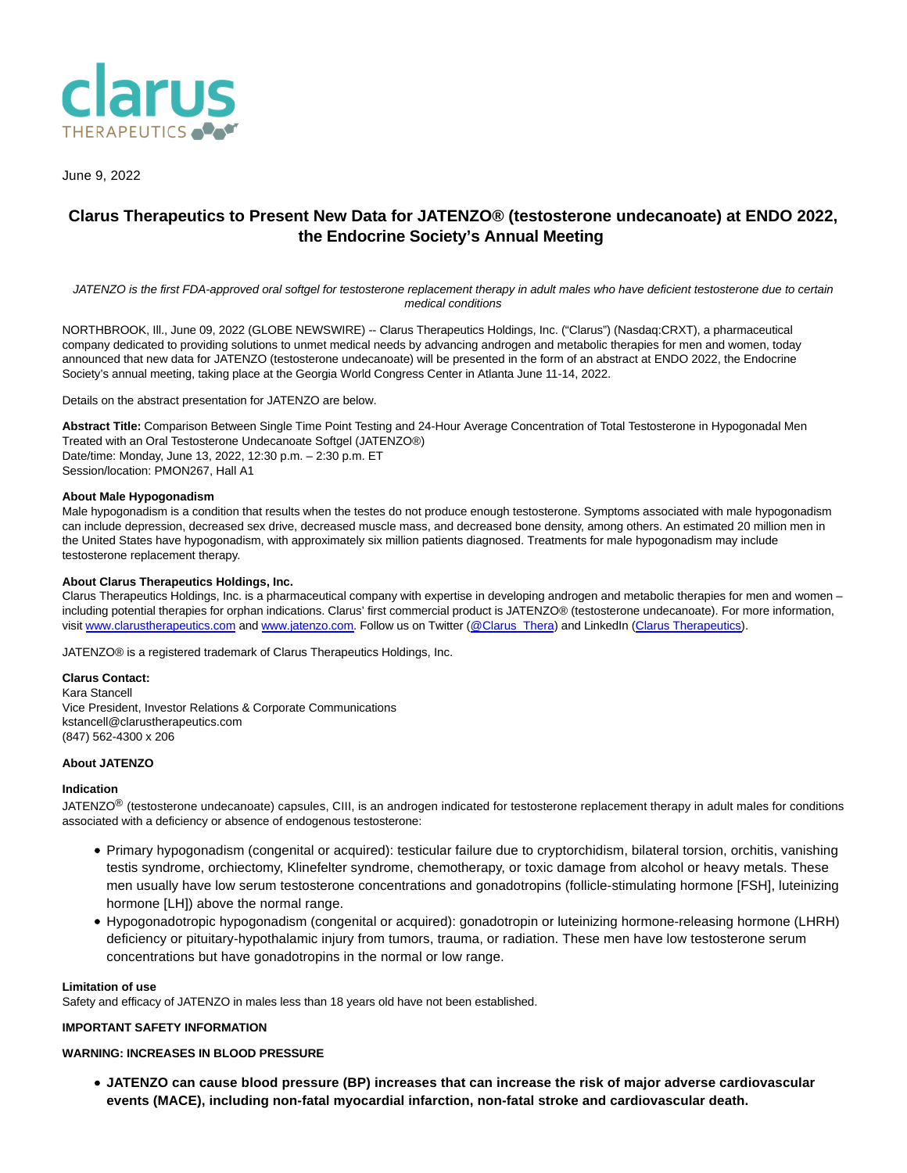

June 9, 2022

# **Clarus Therapeutics to Present New Data for JATENZO® (testosterone undecanoate) at ENDO 2022, the Endocrine Society's Annual Meeting**

JATENZO is the first FDA-approved oral softgel for testosterone replacement therapy in adult males who have deficient testosterone due to certain medical conditions

NORTHBROOK, Ill., June 09, 2022 (GLOBE NEWSWIRE) -- Clarus Therapeutics Holdings, Inc. ("Clarus") (Nasdaq:CRXT), a pharmaceutical company dedicated to providing solutions to unmet medical needs by advancing androgen and metabolic therapies for men and women, today announced that new data for JATENZO (testosterone undecanoate) will be presented in the form of an abstract at ENDO 2022, the Endocrine Society's annual meeting, taking place at the Georgia World Congress Center in Atlanta June 11-14, 2022.

Details on the abstract presentation for JATENZO are below.

**Abstract Title:** Comparison Between Single Time Point Testing and 24-Hour Average Concentration of Total Testosterone in Hypogonadal Men Treated with an Oral Testosterone Undecanoate Softgel (JATENZO®) Date/time: Monday, June 13, 2022, 12:30 p.m. – 2:30 p.m. ET Session/location: PMON267, Hall A1

### **About Male Hypogonadism**

Male hypogonadism is a condition that results when the testes do not produce enough testosterone. Symptoms associated with male hypogonadism can include depression, decreased sex drive, decreased muscle mass, and decreased bone density, among others. An estimated 20 million men in the United States have hypogonadism, with approximately six million patients diagnosed. Treatments for male hypogonadism may include testosterone replacement therapy.

### **About Clarus Therapeutics Holdings, Inc.**

Clarus Therapeutics Holdings, Inc. is a pharmaceutical company with expertise in developing androgen and metabolic therapies for men and women – including potential therapies for orphan indications. Clarus' first commercial product is JATENZO® (testosterone undecanoate). For more information, visit [www.clarustherapeutics.com a](https://www.globenewswire.com/Tracker?data=695-Tyj7WIZ2F-F370B7egxsCGyZI1eFN1FD9INXKc2CdJogh0fr5T5ixqoL9xxzwzZXaRrPZGi8KY1tG3tM7Y7SDoQJ7k5BbGeMPQc-rYMWgW3gAx0_pFLOXbiglKJ0)n[d www.jatenzo.com.](https://www.globenewswire.com/Tracker?data=9jhffcc1rREhtaQMm2-WUbBZ6pUoddXX7JIXTDGu7sZGUntRW3S_e7gBtTBxxiSjc8Mw3ybFYIl_41mP_GWtRw==) Follow us on Twitter [\(@Clarus\\_Thera\)](https://www.globenewswire.com/Tracker?data=ZFeQR8DJeMOQO4m9hFK9X6m6_BUC9Ba1HdpYilZXG_NEgyPXi7VqCoh_6Fh4q-HVPmTvPh4qQ8Q8tUYMpS0jaFCtAl85owm4aGrN3zcxsBs=) and LinkedIn [\(Clarus Therapeutics\).](https://www.globenewswire.com/Tracker?data=Kcyog_zWXjA4ekZgIvX1ZKwMR1Iy6lYnhhZ640bj7TXGn08ZhBFGprclPNBRku7CCOuTbzwL5p0XbdgRbFvltpI2AHK9MpjujLjsOwvDcuJosPSM8Mjb6sKy-813TD_M)

JATENZO® is a registered trademark of Clarus Therapeutics Holdings, Inc.

**Clarus Contact:** Kara Stancell Vice President, Investor Relations & Corporate Communications kstancell@clarustherapeutics.com (847) 562-4300 x 206

### **About JATENZO**

### **Indication**

JATENZO<sup>®</sup> (testosterone undecanoate) capsules, CIII, is an androgen indicated for testosterone replacement therapy in adult males for conditions associated with a deficiency or absence of endogenous testosterone:

- Primary hypogonadism (congenital or acquired): testicular failure due to cryptorchidism, bilateral torsion, orchitis, vanishing testis syndrome, orchiectomy, Klinefelter syndrome, chemotherapy, or toxic damage from alcohol or heavy metals. These men usually have low serum testosterone concentrations and gonadotropins (follicle-stimulating hormone [FSH], luteinizing hormone [LH]) above the normal range.
- Hypogonadotropic hypogonadism (congenital or acquired): gonadotropin or luteinizing hormone-releasing hormone (LHRH) deficiency or pituitary-hypothalamic injury from tumors, trauma, or radiation. These men have low testosterone serum concentrations but have gonadotropins in the normal or low range.

#### **Limitation of use**

Safety and efficacy of JATENZO in males less than 18 years old have not been established.

### **IMPORTANT SAFETY INFORMATION**

### **WARNING: INCREASES IN BLOOD PRESSURE**

**JATENZO can cause blood pressure (BP) increases that can increase the risk of major adverse cardiovascular events (MACE), including non-fatal myocardial infarction, non-fatal stroke and cardiovascular death.**